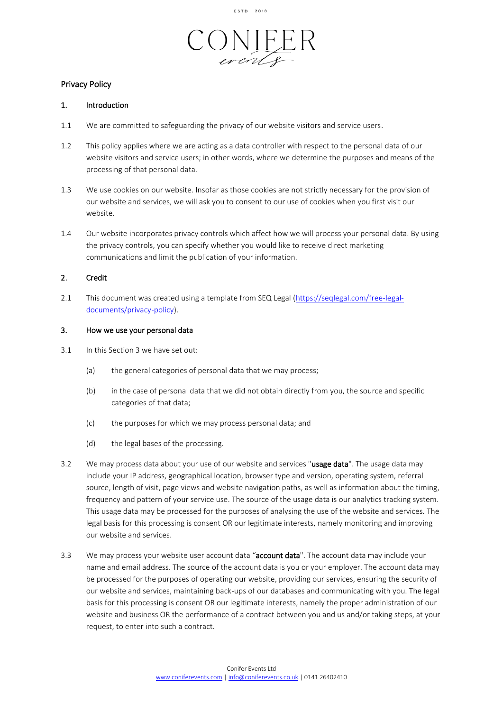



# Privacy Policy

## 1. Introduction

- 1.1 We are committed to safeguarding the privacy of our website visitors and service users.
- 1.2 This policy applies where we are acting as a data controller with respect to the personal data of our website visitors and service users; in other words, where we determine the purposes and means of the processing of that personal data.
- 1.3 We use cookies on our website. Insofar as those cookies are not strictly necessary for the provision of our website and services, we will ask you to consent to our use of cookies when you first visit our website.
- 1.4 Our website incorporates privacy controls which affect how we will process your personal data. By using the privacy controls, you can specify whether you would like to receive direct marketing communications and limit the publication of your information.

## 2. Credit

2.1 This document was created using a template from SEQ Legal [\(https://seqlegal.com/free-legal](https://seqlegal.com/free-legal-documents/privacy-policy)[documents/privacy-policy\)](https://seqlegal.com/free-legal-documents/privacy-policy).

### 3. How we use your personal data

- 3.1 In this Section 3 we have set out:
	- (a) the general categories of personal data that we may process;
	- (b) in the case of personal data that we did not obtain directly from you, the source and specific categories of that data;
	- (c) the purposes for which we may process personal data; and
	- (d) the legal bases of the processing.
- 3.2 We may process data about your use of our website and services "usage data". The usage data may include your IP address, geographical location, browser type and version, operating system, referral source, length of visit, page views and website navigation paths, as well as information about the timing, frequency and pattern of your service use. The source of the usage data is our analytics tracking system. This usage data may be processed for the purposes of analysing the use of the website and services. The legal basis for this processing is consent OR our legitimate interests, namely monitoring and improving our website and services.
- 3.3 We may process your website user account data "account data". The account data may include your name and email address. The source of the account data is you or your employer. The account data may be processed for the purposes of operating our website, providing our services, ensuring the security of our website and services, maintaining back-ups of our databases and communicating with you. The legal basis for this processing is consent OR our legitimate interests, namely the proper administration of our website and business OR the performance of a contract between you and us and/or taking steps, at your request, to enter into such a contract.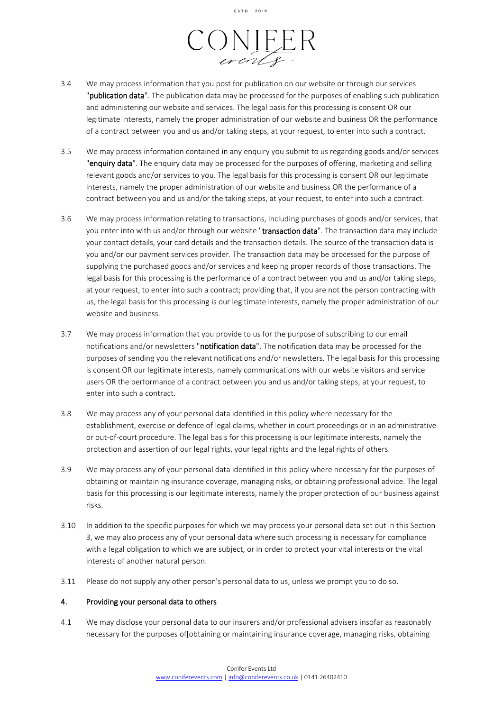ESTD 2018



- 3.4 We may process information that you post for publication on our website or through our services "publication data". The publication data may be processed for the purposes of enabling such publication and administering our website and services. The legal basis for this processing is consent OR our legitimate interests, namely the proper administration of our website and business OR the performance of a contract between you and us and/or taking steps, at your request, to enter into such a contract.
- 3.5 We may process information contained in any enquiry you submit to us regarding goods and/or services "enquiry data". The enquiry data may be processed for the purposes of offering, marketing and selling relevant goods and/or services to you. The legal basis for this processing is consent OR our legitimate interests, namely the proper administration of our website and business OR the performance of a contract between you and us and/or the taking steps, at your request, to enter into such a contract.
- 3.6 We may process information relating to transactions, including purchases of goods and/or services, that you enter into with us and/or through our website "transaction data". The transaction data may include your contact details, your card details and the transaction details. The source of the transaction data is you and/or our payment services provider. The transaction data may be processed for the purpose of supplying the purchased goods and/or services and keeping proper records of those transactions. The legal basis for this processing is the performance of a contract between you and us and/or taking steps, at your request, to enter into such a contract; providing that, if you are not the person contracting with us, the legal basis for this processing is our legitimate interests, namely the proper administration of our website and business.
- 3.7 We may process information that you provide to us for the purpose of subscribing to our email notifications and/or newsletters "notification data". The notification data may be processed for the purposes of sending you the relevant notifications and/or newsletters. The legal basis for this processing is consent OR our legitimate interests, namely communications with our website visitors and service users OR the performance of a contract between you and us and/or taking steps, at your request, to enter into such a contract.
- 3.8 We may process any of your personal data identified in this policy where necessary for the establishment, exercise or defence of legal claims, whether in court proceedings or in an administrative or out-of-court procedure. The legal basis for this processing is our legitimate interests, namely the protection and assertion of our legal rights, your legal rights and the legal rights of others.
- 3.9 We may process any of your personal data identified in this policy where necessary for the purposes of obtaining or maintaining insurance coverage, managing risks, or obtaining professional advice. The legal basis for this processing is our legitimate interests, namely the proper protection of our business against risks.
- 3.10 In addition to the specific purposes for which we may process your personal data set out in this Section 3, we may also process any of your personal data where such processing is necessary for compliance with a legal obligation to which we are subject, or in order to protect your vital interests or the vital interests of another natural person.
- 3.11 Please do not supply any other person's personal data to us, unless we prompt you to do so.

### 4. Providing your personal data to others

4.1 We may disclose your personal data to our insurers and/or professional advisers insofar as reasonably necessary for the purposes of[obtaining or maintaining insurance coverage, managing risks, obtaining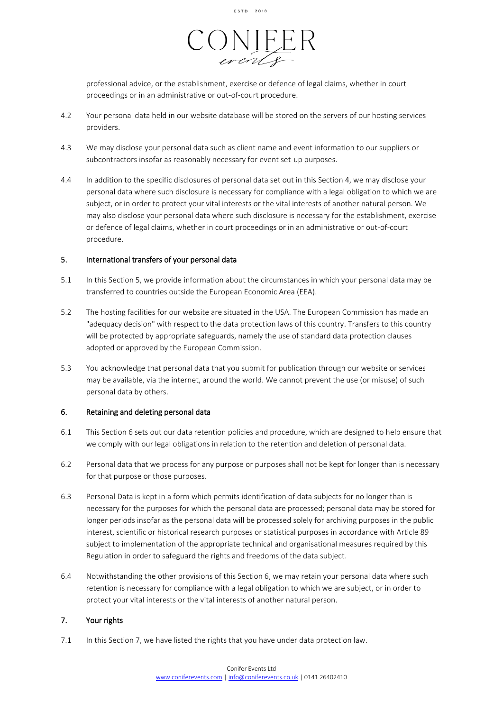



professional advice, or the establishment, exercise or defence of legal claims, whether in court proceedings or in an administrative or out-of-court procedure.

- 4.2 Your personal data held in our website database will be stored on the servers of our hosting services providers.
- 4.3 We may disclose your personal data such as client name and event information to our suppliers or subcontractors insofar as reasonably necessary for event set-up purposes.
- 4.4 In addition to the specific disclosures of personal data set out in this Section 4, we may disclose your personal data where such disclosure is necessary for compliance with a legal obligation to which we are subject, or in order to protect your vital interests or the vital interests of another natural person. We may also disclose your personal data where such disclosure is necessary for the establishment, exercise or defence of legal claims, whether in court proceedings or in an administrative or out-of-court procedure.

### 5. International transfers of your personal data

- 5.1 In this Section 5, we provide information about the circumstances in which your personal data may be transferred to countries outside the European Economic Area (EEA).
- 5.2 The hosting facilities for our website are situated in the USA. The European Commission has made an "adequacy decision" with respect to the data protection laws of this country. Transfers to this country will be protected by appropriate safeguards, namely the use of standard data protection clauses adopted or approved by the European Commission.
- 5.3 You acknowledge that personal data that you submit for publication through our website or services may be available, via the internet, around the world. We cannot prevent the use (or misuse) of such personal data by others.

### 6. Retaining and deleting personal data

- 6.1 This Section 6 sets out our data retention policies and procedure, which are designed to help ensure that we comply with our legal obligations in relation to the retention and deletion of personal data.
- 6.2 Personal data that we process for any purpose or purposes shall not be kept for longer than is necessary for that purpose or those purposes.
- 6.3 Personal Data is kept in a form which permits identification of data subjects for no longer than is necessary for the purposes for which the personal data are processed; personal data may be stored for longer periods insofar as the personal data will be processed solely for archiving purposes in the public interest, scientific or historical research purposes or statistical purposes in accordance with Article 89 subject to implementation of the appropriate technical and organisational measures required by this Regulation in order to safeguard the rights and freedoms of the data subject.
- 6.4 Notwithstanding the other provisions of this Section 6, we may retain your personal data where such retention is necessary for compliance with a legal obligation to which we are subject, or in order to protect your vital interests or the vital interests of another natural person.

## 7. Your rights

7.1 In this Section 7, we have listed the rights that you have under data protection law.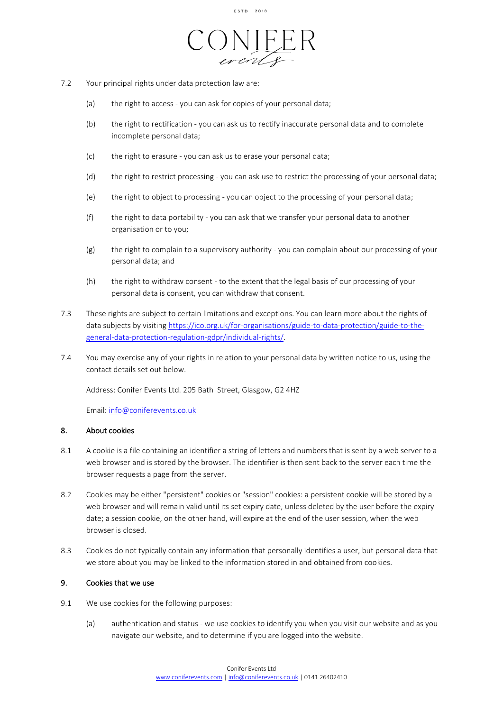



- 7.2 Your principal rights under data protection law are:
	- (a) the right to access you can ask for copies of your personal data;
	- (b) the right to rectification you can ask us to rectify inaccurate personal data and to complete incomplete personal data;
	- (c) the right to erasure you can ask us to erase your personal data;
	- (d) the right to restrict processing you can ask use to restrict the processing of your personal data;
	- (e) the right to object to processing you can object to the processing of your personal data;
	- (f) the right to data portability you can ask that we transfer your personal data to another organisation or to you;
	- (g) the right to complain to a supervisory authority you can complain about our processing of your personal data; and
	- (h) the right to withdraw consent to the extent that the legal basis of our processing of your personal data is consent, you can withdraw that consent.
- 7.3 These rights are subject to certain limitations and exceptions. You can learn more about the rights of data subjects by visitin[g https://ico.org.uk/for-organisations/guide-to-data-protection/guide-to-the](https://ico.org.uk/for-organisations/guide-to-data-protection/guide-to-the-general-data-protection-regulation-gdpr/individual-rights/)[general-data-protection-regulation-gdpr/individual-rights/.](https://ico.org.uk/for-organisations/guide-to-data-protection/guide-to-the-general-data-protection-regulation-gdpr/individual-rights/)
- 7.4 You may exercise any of your rights in relation to your personal data by written notice to us, using the contact details set out below.

Address: Conifer Events Ltd. 205 Bath Street, Glasgow, G2 4HZ

Email: [info@coniferevents.co.uk](mailto:info@coniferevents.co.uk)

## 8. About cookies

- 8.1 A cookie is a file containing an identifier a string of letters and numbers that is sent by a web server to a web browser and is stored by the browser. The identifier is then sent back to the server each time the browser requests a page from the server.
- 8.2 Cookies may be either "persistent" cookies or "session" cookies: a persistent cookie will be stored by a web browser and will remain valid until its set expiry date, unless deleted by the user before the expiry date; a session cookie, on the other hand, will expire at the end of the user session, when the web browser is closed.
- 8.3 Cookies do not typically contain any information that personally identifies a user, but personal data that we store about you may be linked to the information stored in and obtained from cookies.

## 9. Cookies that we use

- 9.1 We use cookies for the following purposes:
	- (a) authentication and status we use cookies to identify you when you visit our website and as you navigate our website, and to determine if you are logged into the website.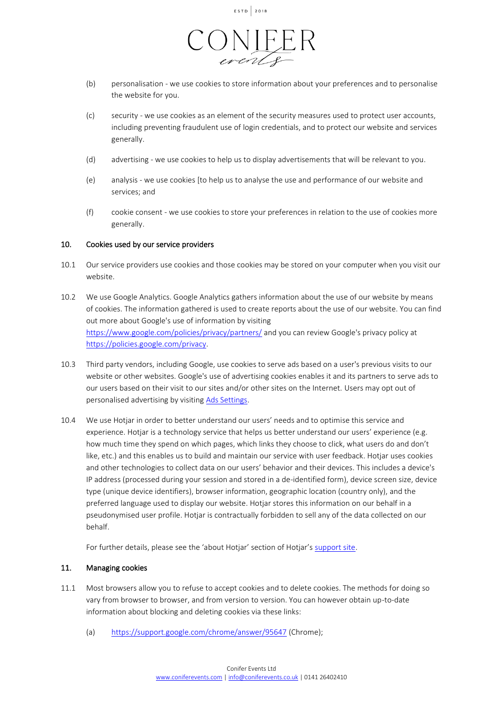



- (b) personalisation we use cookies to store information about your preferences and to personalise the website for you.
- (c) security we use cookies as an element of the security measures used to protect user accounts, including preventing fraudulent use of login credentials, and to protect our website and services generally.
- (d) advertising we use cookies to help us to display advertisements that will be relevant to you.
- (e) analysis we use cookies [to help us to analyse the use and performance of our website and services; and
- (f) cookie consent we use cookies to store your preferences in relation to the use of cookies more generally.

## 10. Cookies used by our service providers

- 10.1 Our service providers use cookies and those cookies may be stored on your computer when you visit our website.
- 10.2 We use Google Analytics. Google Analytics gathers information about the use of our website by means of cookies. The information gathered is used to create reports about the use of our website. You can find out more about Google's use of information by visiting <https://www.google.com/policies/privacy/partners/> and you can review Google's privacy policy at [https://policies.google.com/privacy.](https://policies.google.com/privacy)
- 10.3 Third party vendors, including Google, use cookies to serve ads based on a user's previous visits to our website or other websites. Google's use of advertising cookies enables it and its partners to serve ads to our users based on their visit to our sites and/or other sites on the Internet. Users may opt out of personalised advertising by visiting [Ads Settings.](https://adssettings.google.co.uk/authenticated)
- 10.4 We use Hotjar in order to better understand our users' needs and to optimise this service and experience. Hotjar is a technology service that helps us better understand our users' experience (e.g. how much time they spend on which pages, which links they choose to click, what users do and don't like, etc.) and this enables us to build and maintain our service with user feedback. Hotjar uses cookies and other technologies to collect data on our users' behavior and their devices. This includes a device's IP address (processed during your session and stored in a de-identified form), device screen size, device type (unique device identifiers), browser information, geographic location (country only), and the preferred language used to display our website. Hotjar stores this information on our behalf in a pseudonymised user profile. Hotjar is contractually forbidden to sell any of the data collected on our behalf.

For further details, please see the 'about Hotjar' section of Hotjar's [support site.](https://help.hotjar.com/hc/en-us/categories/115001323967-About-Hotjar)

## 11. Managing cookies

- 11.1 Most browsers allow you to refuse to accept cookies and to delete cookies. The methods for doing so vary from browser to browser, and from version to version. You can however obtain up-to-date information about blocking and deleting cookies via these links:
	- (a) <https://support.google.com/chrome/answer/95647> (Chrome);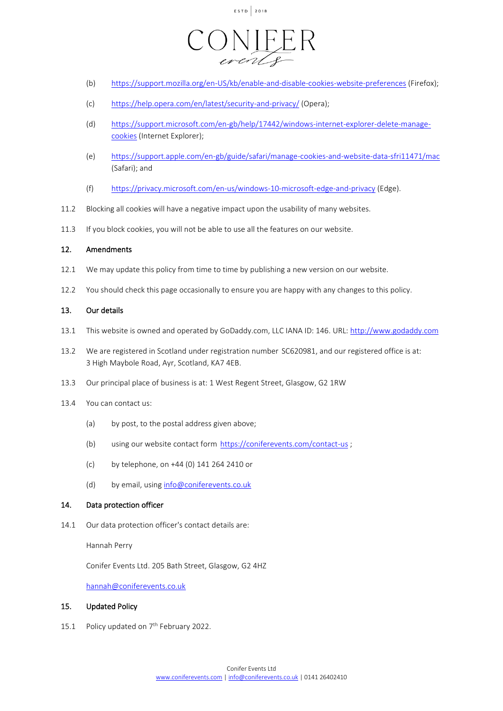

- (b) <https://support.mozilla.org/en-US/kb/enable-and-disable-cookies-website-preferences> (Firefox);
- (c) <https://help.opera.com/en/latest/security-and-privacy/> (Opera);
- (d) [https://support.microsoft.com/en-gb/help/17442/windows-internet-explorer-delete-manage](https://support.microsoft.com/en-gb/help/17442/windows-internet-explorer-delete-manage-cookies)[cookies](https://support.microsoft.com/en-gb/help/17442/windows-internet-explorer-delete-manage-cookies) (Internet Explorer);
- (e) <https://support.apple.com/en-gb/guide/safari/manage-cookies-and-website-data-sfri11471/mac> (Safari); and
- (f) <https://privacy.microsoft.com/en-us/windows-10-microsoft-edge-and-privacy> (Edge).
- 11.2 Blocking all cookies will have a negative impact upon the usability of many websites.
- 11.3 If you block cookies, you will not be able to use all the features on our website.

## 12. Amendments

- 12.1 We may update this policy from time to time by publishing a new version on our website.
- 12.2 You should check this page occasionally to ensure you are happy with any changes to this policy.

### 13. Our details

- 13.1 This website is owned and operated by GoDaddy.com, LLC IANA ID: 146. URL[: http://www.godaddy.com](http://www.godaddy.com/)
- 13.2 We are registered in Scotland under registration number SC620981, and our registered office is at: 3 High Maybole Road, Ayr, Scotland, KA7 4EB.
- 13.3 Our principal place of business is at: 1 West Regent Street, Glasgow, G2 1RW
- 13.4 You can contact us:
	- (a) by post, to the postal address given above;
	- (b) using our website contact form <https://coniferevents.com/contact-us> ;
	- (c) by telephone, on +44 (0) 141 264 2410 or
	- (d) by email, using [info@coniferevents.co.uk](mailto:info@coniferevents.co.uk)

### 14. Data protection officer

14.1 Our data protection officer's contact details are:

Hannah Perry

Conifer Events Ltd. 205 Bath Street, Glasgow, G2 4HZ

[hannah@coniferevents.co.uk](mailto:hannah@coniferevents.co.uk)

### 15. Updated Policy

15.1 Policy updated on  $7<sup>th</sup>$  February 2022.